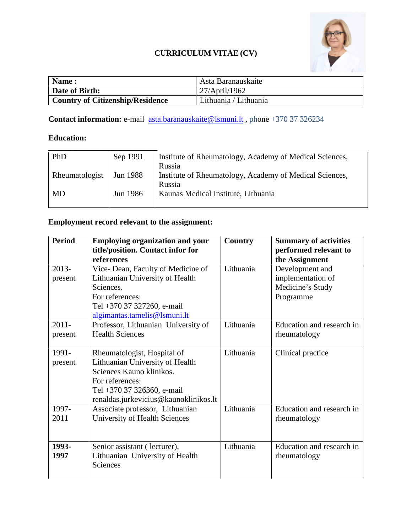

## **CURRICULUM VITAE (CV)**

| Name:                                   | Asta Baranauskaite    |
|-----------------------------------------|-----------------------|
| Date of Birth:                          | 27/April/1962         |
| <b>Country of Citizenship/Residence</b> | Lithuania / Lithuania |

**Contact information: e-mail <u>asta.baranauskaite@lsmuni.lt</u>, phone +370 37 326234** 

## **Education:**

| PhD            | Sep 1991 | Institute of Rheumatology, Academy of Medical Sciences, |  |
|----------------|----------|---------------------------------------------------------|--|
|                |          | Russia                                                  |  |
| Rheumatologist | Jun 1988 | Institute of Rheumatology, Academy of Medical Sciences, |  |
|                |          | Russia                                                  |  |
| <b>MD</b>      | Jun 1986 | Kaunas Medical Institute, Lithuania                     |  |
|                |          |                                                         |  |

## **Employment record relevant to the assignment:**

| <b>Period</b> | <b>Employing organization and your</b><br>title/position. Contact infor for | Country   | <b>Summary of activities</b><br>performed relevant to |
|---------------|-----------------------------------------------------------------------------|-----------|-------------------------------------------------------|
|               | references                                                                  |           | the Assignment                                        |
| $2013 -$      | Vice-Dean, Faculty of Medicine of                                           | Lithuania | Development and                                       |
| present       | Lithuanian University of Health                                             |           | implementation of                                     |
|               | Sciences.                                                                   |           | Medicine's Study                                      |
|               | For references:                                                             |           | Programme                                             |
|               | Tel +370 37 327260, e-mail                                                  |           |                                                       |
|               | algimantas.tamelis@lsmuni.lt                                                |           |                                                       |
| $2011 -$      | Professor, Lithuanian University of                                         | Lithuania | Education and research in                             |
| present       | <b>Health Sciences</b>                                                      |           | rheumatology                                          |
|               |                                                                             |           |                                                       |
| 1991-         | Rheumatologist, Hospital of                                                 | Lithuania | Clinical practice                                     |
| present       | Lithuanian University of Health                                             |           |                                                       |
|               | Sciences Kauno klinikos.                                                    |           |                                                       |
|               | For references:                                                             |           |                                                       |
|               | Tel +370 37 326360, e-mail                                                  |           |                                                       |
|               | renaldas.jurkevicius@kaunoklinikos.lt                                       |           |                                                       |
| 1997-         | Associate professor, Lithuanian                                             | Lithuania | Education and research in                             |
| 2011          | University of Health Sciences                                               |           | rheumatology                                          |
|               |                                                                             |           |                                                       |
|               |                                                                             |           |                                                       |
| 1993-         | Senior assistant (lecturer),                                                | Lithuania | Education and research in                             |
| 1997          | Lithuanian University of Health                                             |           | rheumatology                                          |
|               | Sciences                                                                    |           |                                                       |
|               |                                                                             |           |                                                       |